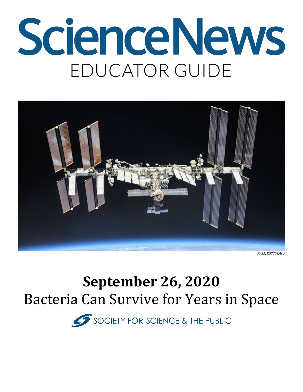# **ScienceNews** EDUCATOR GUIDE



*NASA, ROSCOSMOS*

## **September 26, 2020**  Bacteria Can Survive for Years in Space

SOCIETY FOR SCIENCE & THE PUBLIC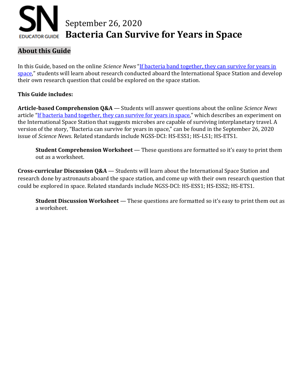# September 26, 2020 **EDUCATOR GUIDE Bacteria Can Survive for Years in Space**

#### **About this Guide**

In this Guide, based on the online *Science News* ["If bacteria band together, they can survive for years in](https://www.sciencenews.org/article/space-bacteria-band-together-survival-years-astrobiology)  [space,](https://www.sciencenews.org/article/space-bacteria-band-together-survival-years-astrobiology)" students will learn about research conducted aboard the International Space Station and develop their own research question that could be explored on the space station.

#### **This Guide includes:**

**Article-based Comprehension Q&A** — Students will answer questions about the online *Science News* article ["If bacteria band together, they can survive for years in space,](https://www.sciencenews.org/article/space-bacteria-band-together-survival-years-astrobiology)" which describes an experiment on the International Space Station that suggests microbes are capable of surviving interplanetary travel. A version of the story, "Bacteria can survive for years in space," can be found in the September 26, 2020 issue of *Science News*. Related standards include NGSS-DCI: HS-ESS1; HS-LS1; HS-ETS1.

**Student Comprehension Worksheet** — These questions are formatted so it's easy to print them out as a worksheet.

**Cross-curricular Discussion Q&A** — Students will learn about the International Space Station and research done by astronauts aboard the space station, and come up with their own research question that could be explored in space. Related standards include NGSS-DCI: HS-ESS1; HS-ESS2; HS-ETS1.

**Student Discussion Worksheet** — These questions are formatted so it's easy to print them out as a worksheet.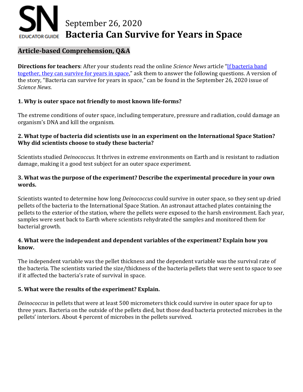### September 26, 2020 **Bacteria Can Survive for Years in Space EDUCATOR GUIDE**

#### **Article-based Comprehension, Q&A**

**Directions for teachers**: After your students read the online *Science News* article ["If bacteria band](https://www.sciencenews.org/article/space-bacteria-band-together-survival-years-astrobiology)  [together, they can survive for years in space,](https://www.sciencenews.org/article/space-bacteria-band-together-survival-years-astrobiology)" ask them to answer the following questions. A version of the story, "Bacteria can survive for years in space," can be found in the September 26, 2020 issue of *Science News*.

#### **1. Why is outer space not friendly to most known life-forms?**

The extreme conditions of outer space, including temperature, pressure and radiation, could damage an organism's DNA and kill the organism.

#### **2. What type of bacteria did scientists use in an experiment on the International Space Station? Why did scientists choose to study these bacteria?**

Scientists studied *Deinococcus.* It thrives in extreme environments on Earth and is resistant to radiation damage, making it a good test subject for an outer space experiment.

#### **3. What was the purpose of the experiment? Describe the experimental procedure in your own words.**

Scientists wanted to determine how long *Deinococcus* could survive in outer space, so they sent up dried pellets of the bacteria to the International Space Station. An astronaut attached plates containing the pellets to the exterior of the station, where the pellets were exposed to the harsh environment. Each year, samples were sent back to Earth where scientists rehydrated the samples and monitored them for bacterial growth.

#### **4. What were the independent and dependent variables of the experiment? Explain how you know.**

The independent variable was the pellet thickness and the dependent variable was the survival rate of the bacteria. The scientists varied the size/thickness of the bacteria pellets that were sent to space to see if it affected the bacteria's rate of survival in space.

#### **5. What were the results of the experiment? Explain.**

*Deinococcus* in pellets that were at least 500 micrometers thick could survive in outer space for up to three years. Bacteria on the outside of the pellets died, but those dead bacteria protected microbes in the pellets' interiors. About 4 percent of microbes in the pellets survived.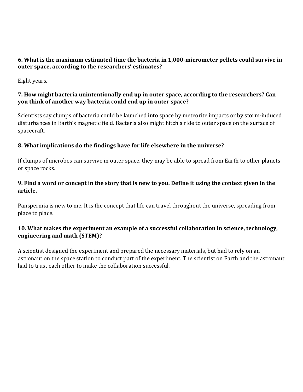#### **6. What is the maximum estimated time the bacteria in 1,000-micrometer pellets could survive in outer space, according to the researchers' estimates?**

Eight years.

#### **7. How might bacteria unintentionally end up in outer space, according to the researchers? Can you think of another way bacteria could end up in outer space?**

Scientists say clumps of bacteria could be launched into space by meteorite impacts or by storm-induced disturbances in Earth's magnetic field. Bacteria also might hitch a ride to outer space on the surface of spacecraft.

#### **8. What implications do the findings have for life elsewhere in the universe?**

If clumps of microbes can survive in outer space, they may be able to spread from Earth to other planets or space rocks.

#### **9. Find a word or concept in the story that is new to you. Define it using the context given in the article.**

Panspermia is new to me. It is the concept that life can travel throughout the universe, spreading from place to place.

#### **10. What makes the experiment an example of a successful collaboration in science, technology, engineering and math (STEM)?**

A scientist designed the experiment and prepared the necessary materials, but had to rely on an astronaut on the space station to conduct part of the experiment. The scientist on Earth and the astronaut had to trust each other to make the collaboration successful.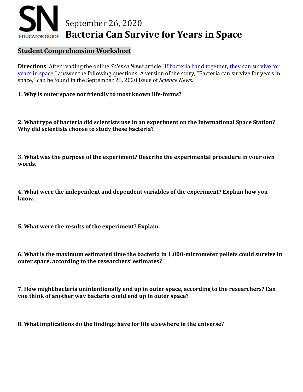### September 26, 2020 **Bacteria Can Survive for Years in Space EDUCATOR GUIDE**

#### **Student Comprehension Worksheet**

**Directions**: After reading the online *Science News* article ["If bacteria band together, they can survive for](https://www.sciencenews.org/article/space-bacteria-band-together-survival-years-astrobiology)  [years in space,](https://www.sciencenews.org/article/space-bacteria-band-together-survival-years-astrobiology)" answer the following questions. A version of the story, "Bacteria can survive for years in space," can be found in the September 26, 2020 issue of *Science News*.

**1. Why is outer space not friendly to most known life-forms?**

**2. What type of bacteria did scientists use in an experiment on the International Space Station? Why did scientists choose to study these bacteria?**

**3. What was the purpose of the experiment? Describe the experimental procedure in your own words.**

**4. What were the independent and dependent variables of the experiment? Explain how you know.** 

**5. What were the results of the experiment? Explain.** 

**6. What is the maximum estimated time the bacteria in 1,000-micrometer pellets could survive in outer space, according to the researchers' estimates?**

**7. How might bacteria unintentionally end up in outer space, according to the researchers? Can you think of another way bacteria could end up in outer space?**

**8. What implications do the findings have for life elsewhere in the universe?**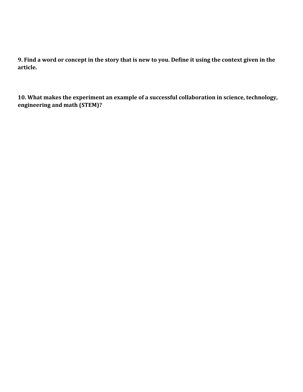**9. Find a word or concept in the story that is new to you. Define it using the context given in the article.**

**10. What makes the experiment an example of a successful collaboration in science, technology, engineering and math (STEM)?**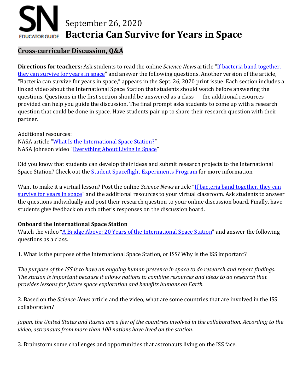# September 26, 2020 **EDUCATOR GUIDE Bacteria Can Survive for Years in Space**

#### **Cross-curricular Discussion, Q&A**

**Directions for teachers:** Ask students to read the online *Science News* article ["If bacteria band together,](https://www.sciencenews.org/article/space-bacteria-band-together-survival-years-astrobiology)  [they can survive for years in space"](https://www.sciencenews.org/article/space-bacteria-band-together-survival-years-astrobiology) and answer the following questions. Another version of the article, "Bacteria can survive for years in space," appears in the Sept. 26, 2020 print issue. Each section includes a linked video about the International Space Station that students should watch before answering the questions. Questions in the first section should be answered as a class — the additional resources provided can help you guide the discussion. The final prompt asks students to come up with a research question that could be done in space. Have students pair up to share their research question with their partner.

Additional resources: NASA article ["What Is the International Space Station?"](https://www.nasa.gov/audience/forstudents/5-8/features/nasa-knows/what-is-the-iss-58.html) NASA Johnson video ["Everything About Living in Space"](https://www.youtube.com/watch?v=ouDKD9G9jOE)

Did you know that students can develop their ideas and submit research projects to the International Space Station? Check out th[e Student Spaceflight Experiments Program](http://ssep.ncesse.org/) for more information.

Want to make it a virtual lesson? Post the online *Science News* article ["If bacteria band together, they can](https://www.sciencenews.org/article/space-bacteria-band-together-survival-years-astrobiology)  [survive for years in space"](https://www.sciencenews.org/article/space-bacteria-band-together-survival-years-astrobiology) and the additional resources to your virtual classroom. Ask students to answer the questions individually and post their research question to your online discussion board. Finally, have students give feedback on each other's responses on the discussion board.

#### **Onboard the International Space Station**

Watch the video ["A Bridge Above: 20 Years of the International Space Station"](https://www.youtube.com/watch?v=OyaXBrttBFQ) and answer the following questions as a class.

1. What is the purpose of the International Space Station, or ISS? Why is the ISS important?

*The purpose of the ISS is to have an ongoing human presence in space to do research and report findings. The station is important because it allows nations to combine resources and ideas to do research that provides lessons for future space exploration and benefits humans on Earth.*

2. Based on the *Science News* article and the video, what are some countries that are involved in the ISS collaboration?

*Japan, the United States and Russia are a few of the countries involved in the collaboration. According to the video, astronauts from more than 100 nations have lived on the station.* 

3. Brainstorm some challenges and opportunities that astronauts living on the ISS face.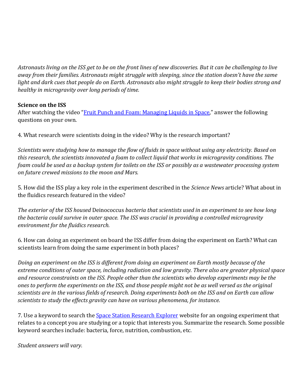*Astronauts living on the ISS get to be on the front lines of new discoveries. But it can be challenging to live away from their families. Astronauts might struggle with sleeping, since the station doesn't have the same light and dark cues that people do on Earth. Astronauts also might struggle to keep their bodies strong and healthy in microgravity over long periods of time.*

#### **Science on the ISS**

After watching the video ["Fruit Punch and Foam: Managing Liquids in Space,](https://www.youtube.com/watch?v=2Dzx6b6vSK4)" answer the following questions on your own.

4. What research were scientists doing in the video? Why is the research important?

*Scientists were studying how to manage the flow of fluids in space without using any electricity. Based on this research, the scientists innovated a foam to collect liquid that works in microgravity conditions. The foam could be used as a backup system for toilets on the ISS or possibly as a wastewater processing system on future crewed missions to the moon and Mars.* 

5. How did the ISS play a key role in the experiment described in the *Science News* article? What about in the fluidics research featured in the video?

*The exterior of the ISS housed* Deinococcus *bacteria that scientists used in an experiment to see how long the bacteria could survive in outer space. The ISS was crucial in providing a controlled microgravity environment for the fluidics research.*

6. How can doing an experiment on board the ISS differ from doing the experiment on Earth? What can scientists learn from doing the same experiment in both places?

*Doing an experiment on the ISS is different from doing an experiment on Earth mostly because of the extreme conditions of outer space, including radiation and low gravity. There also are greater physical space and resource constraints on the ISS. People other than the scientists who develop experiments may be the ones to perform the experiments on the ISS, and those people might not be as well versed as the original scientists are in the various fields of research. Doing experiments both on the ISS and on Earth can allow scientists to study the effects gravity can have on various phenomena, for instance.*

7. Use a keyword to search the **Space Station Research Explorer** website for an ongoing experiment that relates to a concept you are studying or a topic that interests you. Summarize the research. Some possible keyword searches include: bacteria, force, nutrition, combustion, etc.

*Student answers will vary.*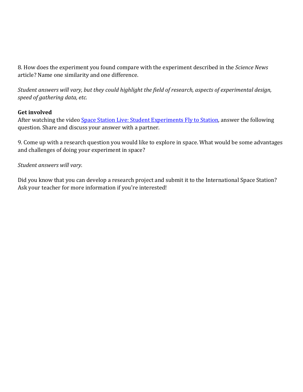8. How does the experiment you found compare with the experiment described in the *Science News* article? Name one similarity and one difference.

*Student answers will vary, but they could highlight the field of research, aspects of experimental design, speed of gathering data, etc.*

#### **Get involved**

After watching the video [Space Station Live: Student Experiments Fly to Station,](https://www.youtube.com/watch?v=fPjr4NPtlLE) answer the following question. Share and discuss your answer with a partner.

9. Come up with a research question you would like to explore in space. What would be some advantages and challenges of doing your experiment in space?

#### *Student answers will vary.*

Did you know that you can develop a research project and submit it to the International Space Station? Ask your teacher for more information if you're interested!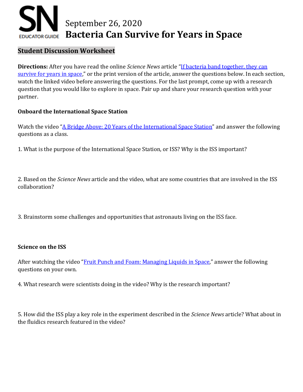### September 26, 2020 **Bacteria Can Survive for Years in Space EDUCATOR GUIDE**

#### **Student Discussion Worksheet**

**Directions:** After you have read the online *Science News* article ["If bacteria band together, they can](https://www.sciencenews.org/article/space-bacteria-band-together-survival-years-astrobiology)  [survive for years in space,"](https://www.sciencenews.org/article/space-bacteria-band-together-survival-years-astrobiology) or the print version of the article, answer the questions below. In each section, watch the linked video before answering the questions. For the last prompt, come up with a research question that you would like to explore in space. Pair up and share your research question with your partner.

#### **Onboard the International Space Station**

Watch the video ["A Bridge Above: 20 Years of the International Space Station"](https://www.youtube.com/watch?v=OyaXBrttBFQ) and answer the following questions as a class.

1. What is the purpose of the International Space Station, or ISS? Why is the ISS important?

2. Based on the *Science News* article and the video, what are some countries that are involved in the ISS collaboration?

3. Brainstorm some challenges and opportunities that astronauts living on the ISS face.

#### **Science on the ISS**

After watching the video ["Fruit Punch and Foam: Managing Liquids in Space,](https://www.youtube.com/watch?v=2Dzx6b6vSK4)" answer the following questions on your own.

4. What research were scientists doing in the video? Why is the research important?

5. How did the ISS play a key role in the experiment described in the *Science News* article? What about in the fluidics research featured in the video?